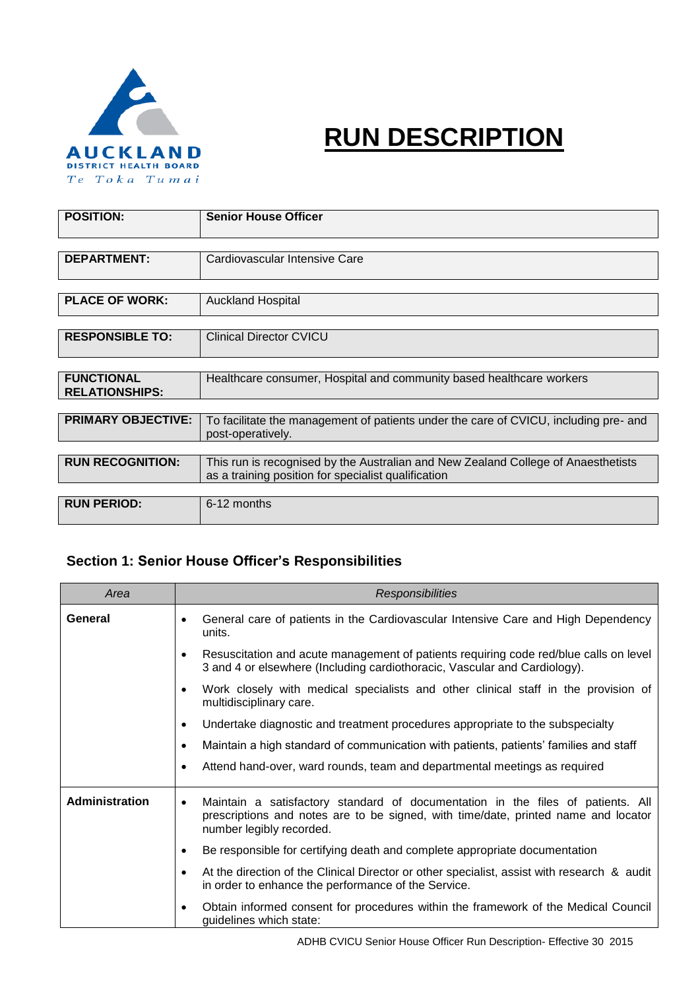

# **RUN DESCRIPTION**

| <b>POSITION:</b>                           | <b>Senior House Officer</b>                                                                                                              |  |  |  |  |
|--------------------------------------------|------------------------------------------------------------------------------------------------------------------------------------------|--|--|--|--|
|                                            |                                                                                                                                          |  |  |  |  |
| <b>DEPARTMENT:</b>                         | Cardiovascular Intensive Care                                                                                                            |  |  |  |  |
|                                            |                                                                                                                                          |  |  |  |  |
| <b>PLACE OF WORK:</b>                      | <b>Auckland Hospital</b>                                                                                                                 |  |  |  |  |
|                                            |                                                                                                                                          |  |  |  |  |
| <b>RESPONSIBLE TO:</b>                     | <b>Clinical Director CVICU</b>                                                                                                           |  |  |  |  |
|                                            |                                                                                                                                          |  |  |  |  |
| <b>FUNCTIONAL</b><br><b>RELATIONSHIPS:</b> | Healthcare consumer, Hospital and community based healthcare workers                                                                     |  |  |  |  |
|                                            |                                                                                                                                          |  |  |  |  |
| <b>PRIMARY OBJECTIVE:</b>                  | To facilitate the management of patients under the care of CVICU, including pre- and<br>post-operatively.                                |  |  |  |  |
|                                            |                                                                                                                                          |  |  |  |  |
| <b>RUN RECOGNITION:</b>                    | This run is recognised by the Australian and New Zealand College of Anaesthetists<br>as a training position for specialist qualification |  |  |  |  |
|                                            |                                                                                                                                          |  |  |  |  |
| <b>RUN PERIOD:</b>                         | 6-12 months                                                                                                                              |  |  |  |  |

# **Section 1: Senior House Officer's Responsibilities**

| Area                  | <b>Responsibilities</b>                                                                                                                                                                                        |  |  |  |  |  |
|-----------------------|----------------------------------------------------------------------------------------------------------------------------------------------------------------------------------------------------------------|--|--|--|--|--|
| General               | General care of patients in the Cardiovascular Intensive Care and High Dependency<br>٠<br>units.                                                                                                               |  |  |  |  |  |
|                       | Resuscitation and acute management of patients requiring code red/blue calls on level<br>$\bullet$<br>3 and 4 or elsewhere (Including cardiothoracic, Vascular and Cardiology).                                |  |  |  |  |  |
|                       | Work closely with medical specialists and other clinical staff in the provision of<br>$\bullet$<br>multidisciplinary care.                                                                                     |  |  |  |  |  |
|                       | Undertake diagnostic and treatment procedures appropriate to the subspecialty<br>$\bullet$                                                                                                                     |  |  |  |  |  |
|                       | Maintain a high standard of communication with patients, patients' families and staff<br>$\bullet$                                                                                                             |  |  |  |  |  |
|                       | Attend hand-over, ward rounds, team and departmental meetings as required<br>$\bullet$                                                                                                                         |  |  |  |  |  |
| <b>Administration</b> | Maintain a satisfactory standard of documentation in the files of patients. All<br>$\bullet$<br>prescriptions and notes are to be signed, with time/date, printed name and locator<br>number legibly recorded. |  |  |  |  |  |
|                       | Be responsible for certifying death and complete appropriate documentation<br>$\bullet$                                                                                                                        |  |  |  |  |  |
|                       | At the direction of the Clinical Director or other specialist, assist with research & audit<br>$\bullet$<br>in order to enhance the performance of the Service.                                                |  |  |  |  |  |
|                       | Obtain informed consent for procedures within the framework of the Medical Council<br>$\bullet$<br>guidelines which state:                                                                                     |  |  |  |  |  |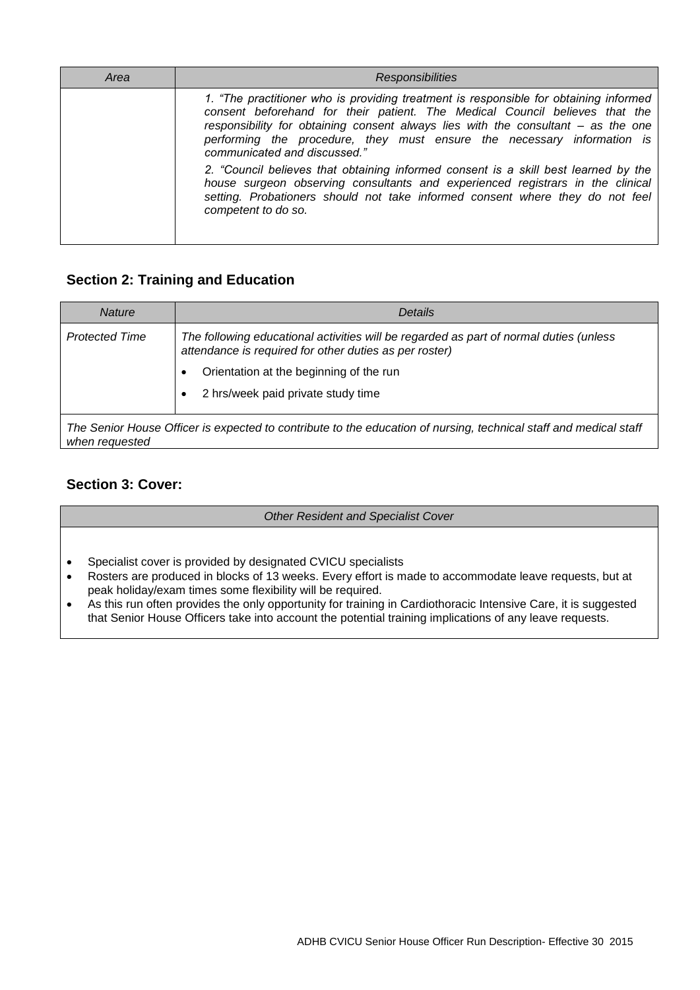| Area | <b>Responsibilities</b>                                                                                                                                                                                                                                                                                                                                              |
|------|----------------------------------------------------------------------------------------------------------------------------------------------------------------------------------------------------------------------------------------------------------------------------------------------------------------------------------------------------------------------|
|      | 1. "The practitioner who is providing treatment is responsible for obtaining informed<br>consent beforehand for their patient. The Medical Council believes that the<br>responsibility for obtaining consent always lies with the consultant - as the one<br>performing the procedure, they must ensure the necessary information is<br>communicated and discussed." |
|      | 2. "Council believes that obtaining informed consent is a skill best learned by the<br>house surgeon observing consultants and experienced registrars in the clinical<br>setting. Probationers should not take informed consent where they do not feel<br>competent to do so.                                                                                        |

# **Section 2: Training and Education**

| <b>Nature</b>         | Details                                                                                                                                          |  |  |  |
|-----------------------|--------------------------------------------------------------------------------------------------------------------------------------------------|--|--|--|
| <b>Protected Time</b> | The following educational activities will be regarded as part of normal duties (unless<br>attendance is required for other duties as per roster) |  |  |  |
|                       | Orientation at the beginning of the run                                                                                                          |  |  |  |
|                       | 2 hrs/week paid private study time                                                                                                               |  |  |  |
| when requested        | The Senior House Officer is expected to contribute to the education of nursing, technical staff and medical staff                                |  |  |  |

# **Section 3: Cover:**

*Other Resident and Specialist Cover*

- Specialist cover is provided by designated CVICU specialists
- Rosters are produced in blocks of 13 weeks. Every effort is made to accommodate leave requests, but at peak holiday/exam times some flexibility will be required.
- As this run often provides the only opportunity for training in Cardiothoracic Intensive Care, it is suggested that Senior House Officers take into account the potential training implications of any leave requests.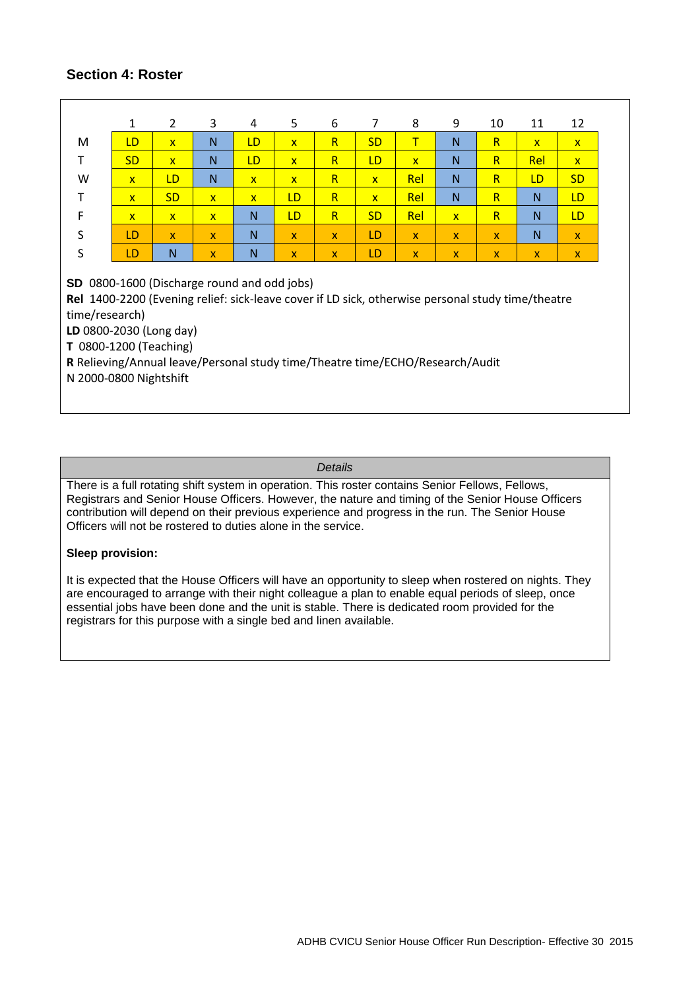## **Section 4: Roster**

|                                                                                                                                                                                                                                                                                                                                    | 1            | $\overline{2}$ | 3              | 4                       | 5              | 6            | $\overline{7}$          | 8            | 9            | 10                      | 11           | 12           |
|------------------------------------------------------------------------------------------------------------------------------------------------------------------------------------------------------------------------------------------------------------------------------------------------------------------------------------|--------------|----------------|----------------|-------------------------|----------------|--------------|-------------------------|--------------|--------------|-------------------------|--------------|--------------|
| M                                                                                                                                                                                                                                                                                                                                  | LD           | $\mathbf{x}$   | N              | LD                      | $\mathbf{x}$   | $\mathsf{R}$ | <b>SD</b>               | $\mathsf T$  | N            | R.                      | $\mathbf{x}$ | $\mathbf{x}$ |
| т                                                                                                                                                                                                                                                                                                                                  | <b>SD</b>    | $\mathbf{x}$   | N              | LD                      | $\overline{X}$ | $\mathsf{R}$ | <b>LD</b>               | $\mathbf{x}$ | N            | $\mathsf{R}$            | Rel          | $\mathbf{x}$ |
| W                                                                                                                                                                                                                                                                                                                                  | $\mathbf{x}$ | LD             | N              | $\overline{\mathbf{x}}$ | $\mathbf{x}$   | $\mathsf{R}$ | $\mathbf{x}$            | Rel          | N            | $\overline{\mathsf{R}}$ | LD           | <b>SD</b>    |
| т                                                                                                                                                                                                                                                                                                                                  | $\mathbf{x}$ | <b>SD</b>      | $\overline{X}$ | $\overline{\mathbf{x}}$ | LD             | $\mathsf{R}$ | $\overline{\mathbf{x}}$ | Rel          | N            | R.                      | N            | LD           |
| $\mathsf F$                                                                                                                                                                                                                                                                                                                        | $\mathbf{x}$ | $\mathbf{x}$   | $\mathbf{x}$   | N                       | LD             | $\mathsf{R}$ | <b>SD</b>               | Rel          | $\mathbf{x}$ | $\mathsf{R}$            | N            | LD.          |
| S                                                                                                                                                                                                                                                                                                                                  | LD           | $\mathbf{x}$   | $\mathbf{x}$   | $\mathsf{N}$            | $\mathbf{x}$   | $\mathbf{x}$ | LD                      | $\mathbf{x}$ | $\mathbf{x}$ | $\mathbf{x}$            | N            | $\mathbf{x}$ |
| S                                                                                                                                                                                                                                                                                                                                  | LD           | N              | $\mathbf{x}$   | N                       | <b>X</b>       | $\mathsf{x}$ | LD                      | $\mathsf{x}$ | $\mathsf{x}$ | X.                      | $\mathsf{x}$ | $\mathsf{x}$ |
| SD 0800-1600 (Discharge round and odd jobs)<br>Rel 1400-2200 (Evening relief: sick-leave cover if LD sick, otherwise personal study time/theatre<br>time/research)<br>LD 0800-2030 (Long day)<br>T 0800-1200 (Teaching)<br>R Relieving/Annual leave/Personal study time/Theatre time/ECHO/Research/Audit<br>N 2000-0800 Nightshift |              |                |                |                         |                |              |                         |              |              |                         |              |              |

#### *Details*

There is a full rotating shift system in operation. This roster contains Senior Fellows, Fellows, Registrars and Senior House Officers. However, the nature and timing of the Senior House Officers contribution will depend on their previous experience and progress in the run. The Senior House Officers will not be rostered to duties alone in the service.

#### **Sleep provision:**

It is expected that the House Officers will have an opportunity to sleep when rostered on nights. They are encouraged to arrange with their night colleague a plan to enable equal periods of sleep, once essential jobs have been done and the unit is stable. There is dedicated room provided for the registrars for this purpose with a single bed and linen available.